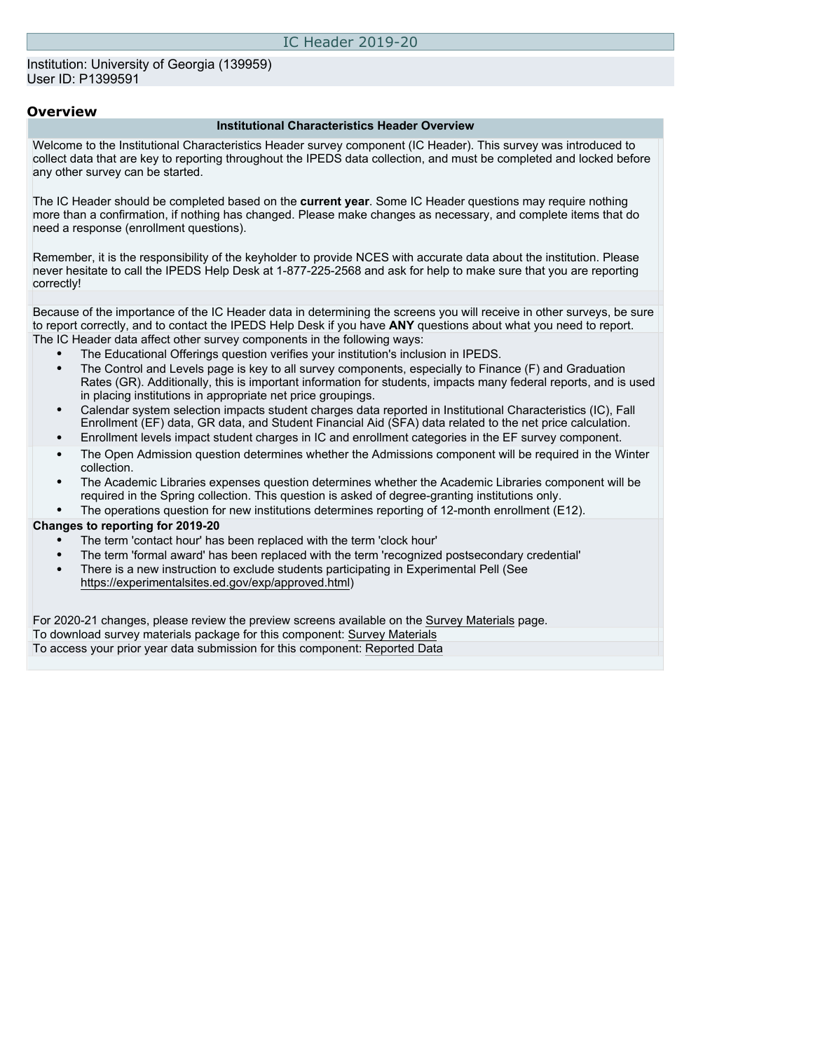### **Overview**

#### **Institutional Characteristics Header Overview**

Welcome to the Institutional Characteristics Header survey component (IC Header). This survey was introduced to collect data that are key to reporting throughout the IPEDS data collection, and must be completed and locked before any other survey can be started.

The IC Header should be completed based on the **current year**. Some IC Header questions may require nothing more than a confirmation, if nothing has changed. Please make changes as necessary, and complete items that do need a response (enrollment questions).

Remember, it is the responsibility of the keyholder to provide NCES with accurate data about the institution. Please never hesitate to call the IPEDS Help Desk at 1-877-225-2568 and ask for help to make sure that you are reporting correctly!

Because of the importance of the IC Header data in determining the screens you will receive in other surveys, be sure to report correctly, and to contact the IPEDS Help Desk if you have **ANY** questions about what you need to report. The IC Header data affect other survey components in the following ways:

- The Educational Offerings question verifies your institution's inclusion in IPEDS.
- The Control and Levels page is key to all survey components, especially to Finance (F) and Graduation Rates (GR). Additionally, this is important information for students, impacts many federal reports, and is used in placing institutions in appropriate net price groupings.
- Calendar system selection impacts student charges data reported in Institutional Characteristics (IC), Fall Enrollment (EF) data, GR data, and Student Financial Aid (SFA) data related to the net price calculation.
- Enrollment levels impact student charges in IC and enrollment categories in the EF survey component.
- The Open Admission question determines whether the Admissions component will be required in the Winter collection.
- The Academic Libraries expenses question determines whether the Academic Libraries component will be required in the Spring collection. This question is asked of degree-granting institutions only.
- The operations question for new institutions determines reporting of 12-month enrollment (E12).

### **Changes to reporting for 2019-20**

- The term 'contact hour' has been replaced with the term 'clock hour'
- The term 'formal award' has been replaced with the term 'recognized postsecondary credential'
- There is a new instruction to exclude students participating in Experimental Pell (See [https://experimentalsites.ed.gov/exp/approved.html\)](https://experimentalsites.ed.gov/exp/approved.html)

For 2020-21 changes, please review the preview screens available on the [Survey Materials](https://surveys.nces.ed.gov/ipeds/VisIndex.aspx) page. To download survey materials package for this component: [Survey Materials](https://surveys.nces.ed.gov/ipeds/VisIndex.aspx)

To access your prior year data submission for this component: [Reported Data](http://192.168.102.89/ipeds/PriorYearDataRedirect.aspx?survey_id=12)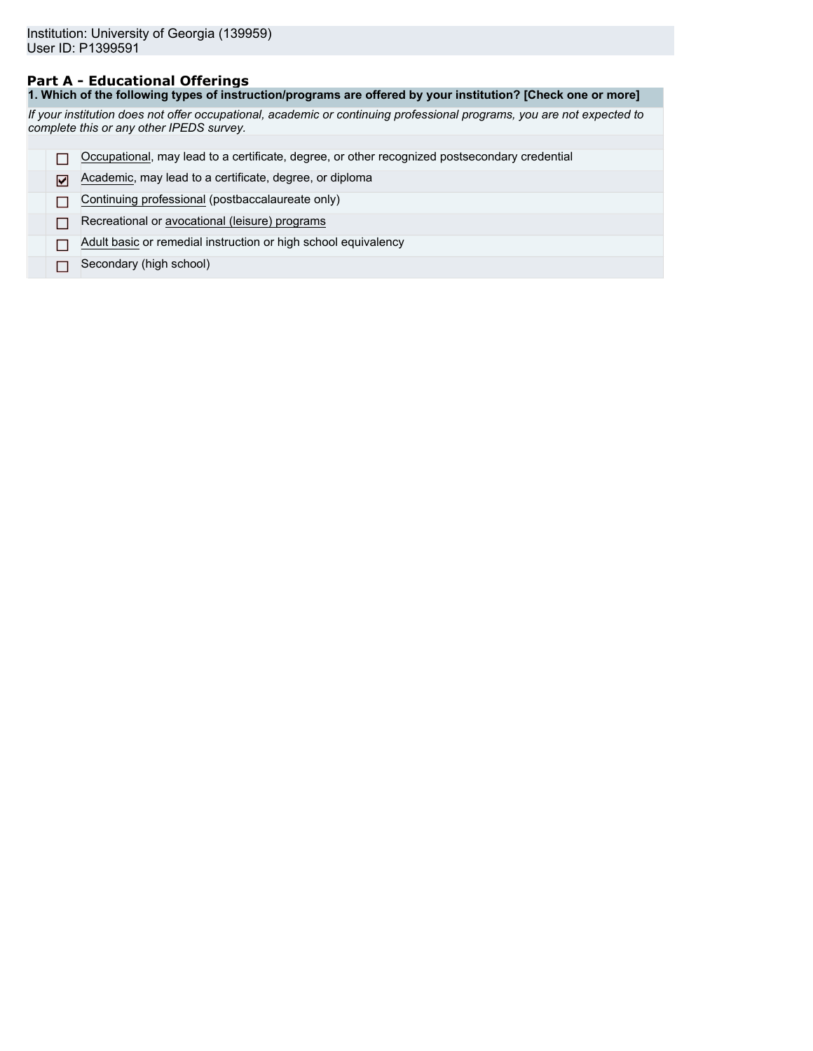## **Part A - Educational Offerings**

**1. Which of the following types of instruction/programs are offered by your institution? [Check one or more]**

*If your institution does not offer occupational, academic or continuing professional programs, you are not expected to complete this or any other IPEDS survey.*

- Occupational, may lead to a certificate, degree, or other recognized postsecondary credential
- Academic, may lead to a certificate, degree, or diploma
- Continuing professional (postbaccalaureate only)
- Recreational or avocational (leisure) programs  $\Box$
- Adult basic or remedial instruction or high school equivalency  $\Box$
- Secondary (high school) $\Box$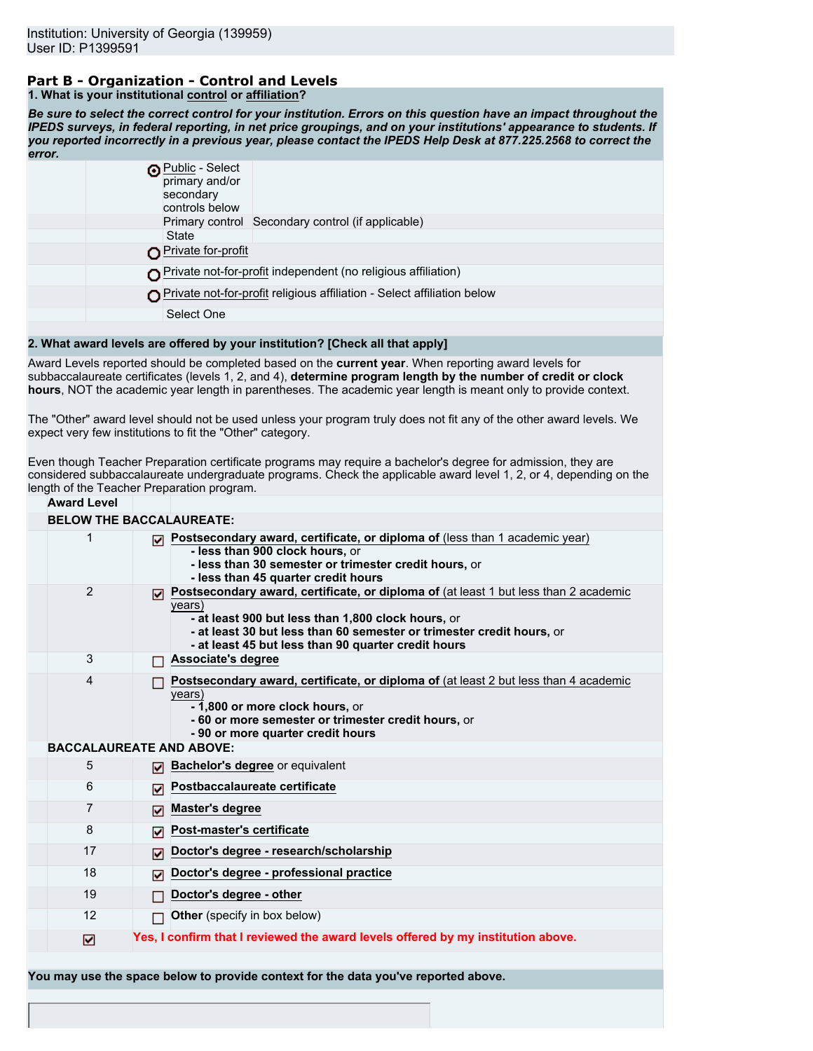## **Part B - Organization - Control and Levels**

**1. What is your institutional control or affiliation?**

*Be sure to select the correct control for your institution. Errors on this question have an impact throughout the IPEDS surveys, in federal reporting, in net price groupings, and on your institutions' appearance to students. If you reported incorrectly in a previous year, please contact the IPEDS Help Desk at 877.225.2568 to correct the error.*

| Public - Select<br>primary and/or<br>secondary<br>controls below |                                                                         |
|------------------------------------------------------------------|-------------------------------------------------------------------------|
|                                                                  | Primary control Secondary control (if applicable)                       |
| State                                                            |                                                                         |
| Private for-profit                                               |                                                                         |
|                                                                  | Private not-for-profit independent (no religious affiliation)           |
|                                                                  | Private not-for-profit religious affiliation - Select affiliation below |
| Select One                                                       |                                                                         |

### **2. What award levels are offered by your institution? [Check all that apply]**

Award Levels reported should be completed based on the **current year**. When reporting award levels for subbaccalaureate certificates (levels 1, 2, and 4), **determine program length by the number of credit or clock hours**, NOT the academic year length in parentheses. The academic year length is meant only to provide context.

The "Other" award level should not be used unless your program truly does not fit any of the other award levels. We expect very few institutions to fit the "Other" category.

Even though Teacher Preparation certificate programs may require a bachelor's degree for admission, they are considered subbaccalaureate undergraduate programs. Check the applicable award level 1, 2, or 4, depending on the length of the Teacher Preparation program. **Award Level**

|                                 | Awaru Lever    |                                                                                                                                                                                                                                                                                           |  |  |  |  |
|---------------------------------|----------------|-------------------------------------------------------------------------------------------------------------------------------------------------------------------------------------------------------------------------------------------------------------------------------------------|--|--|--|--|
| <b>BELOW THE BACCALAUREATE:</b> |                |                                                                                                                                                                                                                                                                                           |  |  |  |  |
|                                 | 1              | Postsecondary award, certificate, or diploma of (less than 1 academic year)<br>- less than 900 clock hours, or<br>- less than 30 semester or trimester credit hours, or<br>- less than 45 quarter credit hours                                                                            |  |  |  |  |
|                                 | $\overline{2}$ | Postsecondary award, certificate, or diploma of (at least 1 but less than 2 academic<br>М<br>years)<br>- at least 900 but less than 1,800 clock hours, or<br>- at least 30 but less than 60 semester or trimester credit hours, or<br>- at least 45 but less than 90 quarter credit hours |  |  |  |  |
|                                 | 3              | Associate's degree                                                                                                                                                                                                                                                                        |  |  |  |  |
|                                 | 4              | Postsecondary award, certificate, or diploma of (at least 2 but less than 4 academic<br>years)<br>- 1,800 or more clock hours, or<br>- 60 or more semester or trimester credit hours, or<br>- 90 or more quarter credit hours                                                             |  |  |  |  |
|                                 |                | <b>BACCALAUREATE AND ABOVE:</b>                                                                                                                                                                                                                                                           |  |  |  |  |
|                                 | 5              | Bachelor's degree or equivalent                                                                                                                                                                                                                                                           |  |  |  |  |
|                                 | 6              | Postbaccalaureate certificate<br>⊡                                                                                                                                                                                                                                                        |  |  |  |  |
|                                 | $\overline{7}$ | <b>Master's degree</b><br>☑                                                                                                                                                                                                                                                               |  |  |  |  |
|                                 | 8              | Post-master's certificate<br>⊓                                                                                                                                                                                                                                                            |  |  |  |  |
|                                 | 17             | Doctor's degree - research/scholarship<br>⊡                                                                                                                                                                                                                                               |  |  |  |  |
|                                 | 18             | Doctor's degree - professional practice<br>⊡                                                                                                                                                                                                                                              |  |  |  |  |
|                                 | 19             | Doctor's degree - other                                                                                                                                                                                                                                                                   |  |  |  |  |
|                                 | 12             | <b>Other</b> (specify in box below)<br>П                                                                                                                                                                                                                                                  |  |  |  |  |
|                                 | ☑              | Yes, I confirm that I reviewed the award levels offered by my institution above.                                                                                                                                                                                                          |  |  |  |  |
|                                 |                |                                                                                                                                                                                                                                                                                           |  |  |  |  |
|                                 |                | You may use the space below to provide context for the data you've reported above.                                                                                                                                                                                                        |  |  |  |  |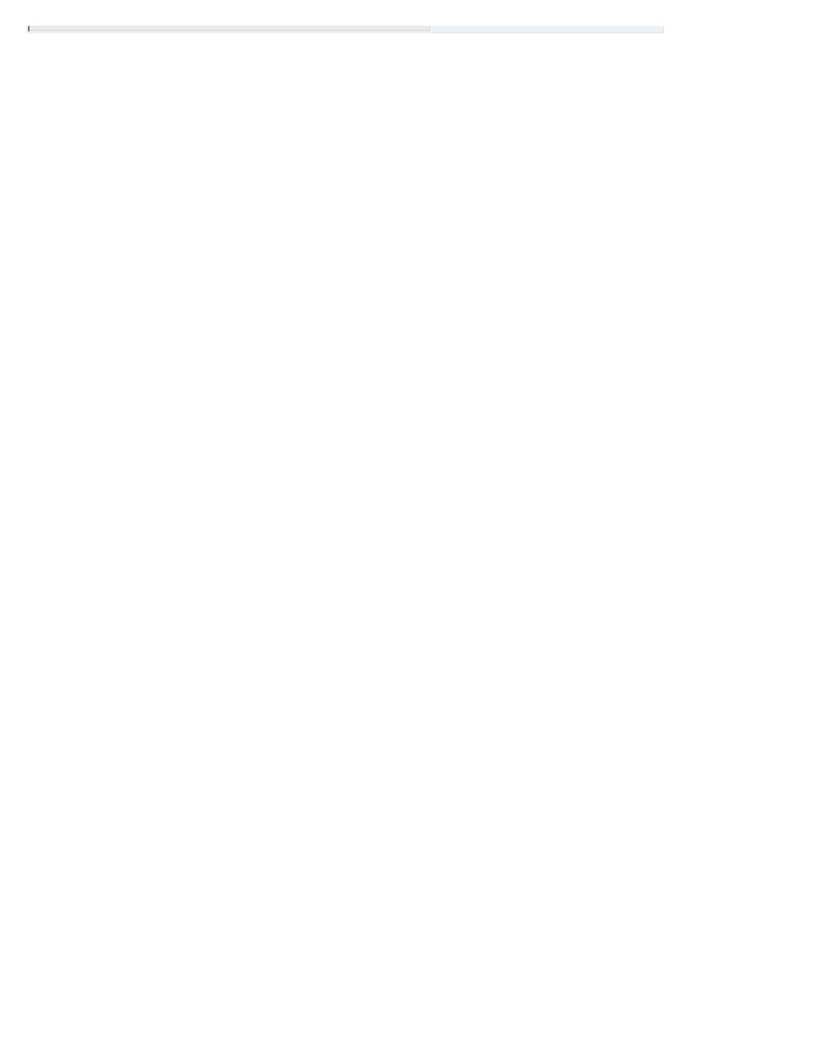a construction of the construction of the construction of the construction of the construction of the construction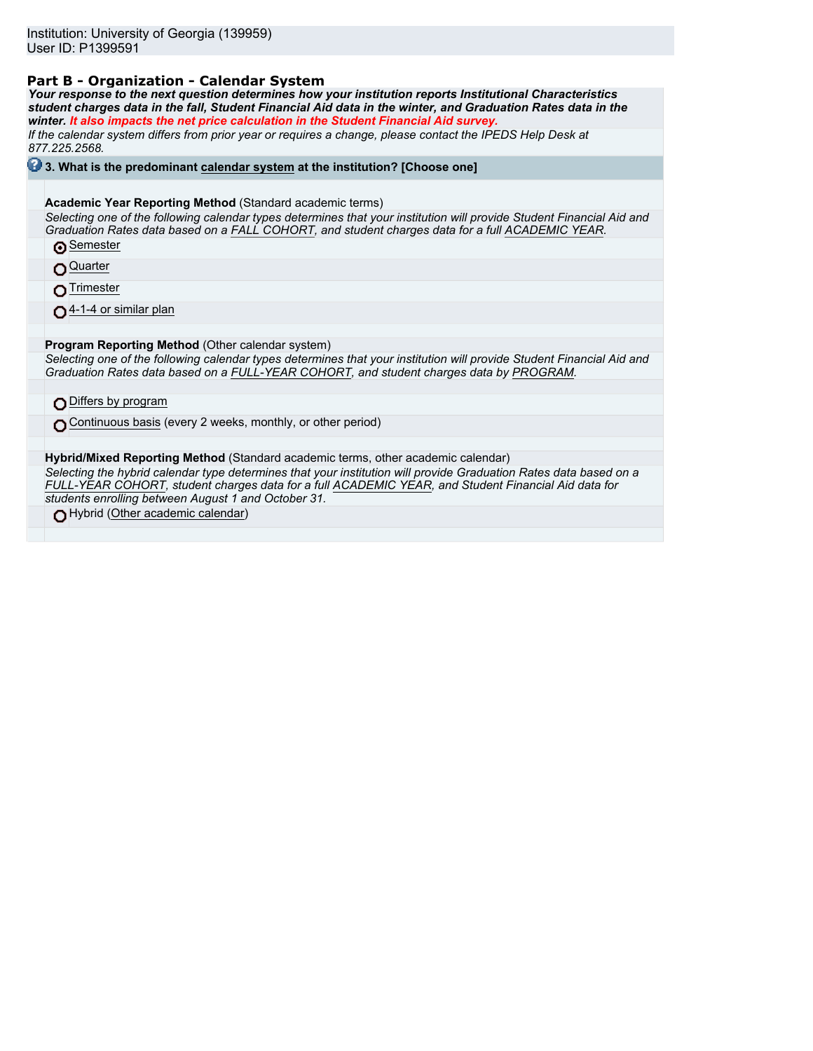## **Part B - Organization - Calendar System**

*Your response to the next question determines how your institution reports Institutional Characteristics student charges data in the fall, Student Financial Aid data in the winter, and Graduation Rates data in the winter. It also impacts the net price calculation in the Student Financial Aid survey. If the calendar system differs from prior year or requires a change, please contact the IPEDS Help Desk at 877.225.2568.*  $\bullet$  **3. What is the predominant calendar system at the institution? [Choose one] Academic Year Reporting Method** (Standard academic terms) *Selecting one of the following calendar types determines that your institution will provide Student Financial Aid and Graduation Rates data based on a FALL COHORT, and student charges data for a full ACADEMIC YEAR.* **O** Semester Quarter ∩Trimester  $\bigcap$  4-1-4 or similar plan **Program Reporting Method** (Other calendar system) *Selecting one of the following calendar types determines that your institution will provide Student Financial Aid and Graduation Rates data based on a FULL-YEAR COHORT, and student charges data by PROGRAM.* D Differs by program Continuous basis (every 2 weeks, monthly, or other period) **Hybrid/Mixed Reporting Method** (Standard academic terms, other academic calendar) *Selecting the hybrid calendar type determines that your institution will provide Graduation Rates data based on a FULL-YEAR COHORT, student charges data for a full ACADEMIC YEAR, and Student Financial Aid data for students enrolling between August 1 and October 31.* Hybrid (Other academic calendar)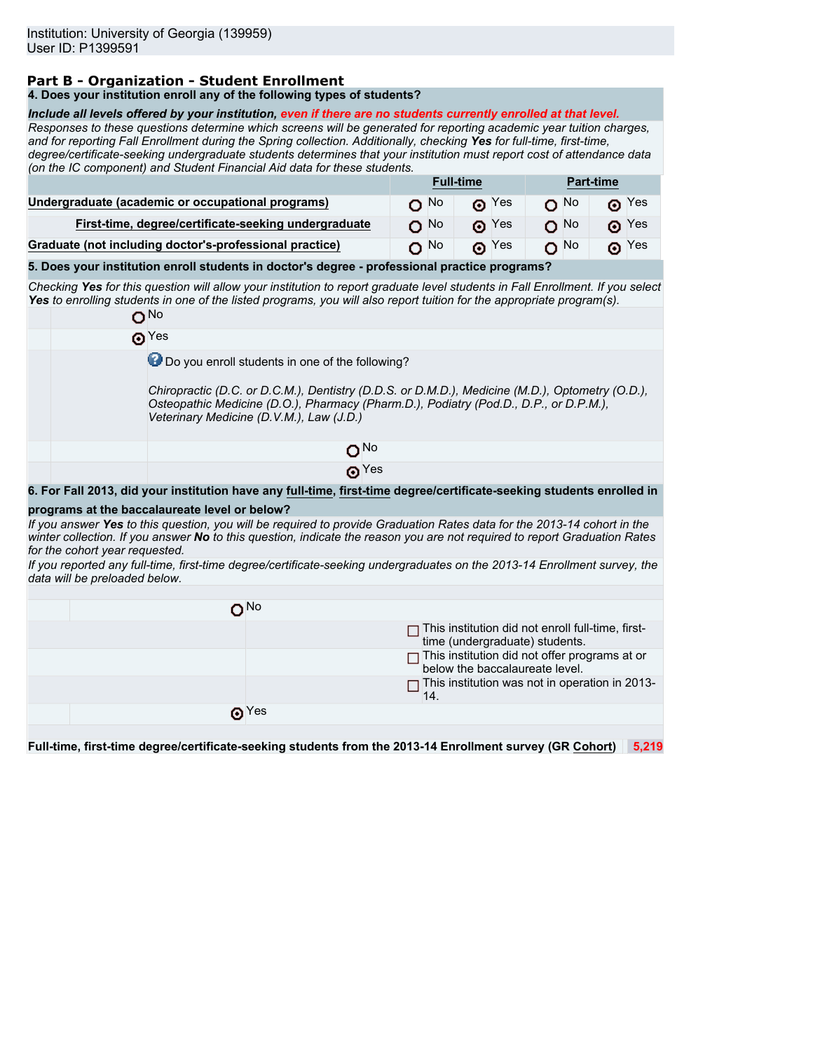## **Part B - Organization - Student Enrollment**

| rait D - Viyanizativn - Stuuent Enivinnent<br>4. Does your institution enroll any of the following types of students?                                                                                                                                                                                                                                                                                                                                                                                                                                                 |                                                                                                                                                                                                                                      |                                                                                                                                                                                                                                                      |   |                |                  |             |                                                                                 |        |                  |             |
|-----------------------------------------------------------------------------------------------------------------------------------------------------------------------------------------------------------------------------------------------------------------------------------------------------------------------------------------------------------------------------------------------------------------------------------------------------------------------------------------------------------------------------------------------------------------------|--------------------------------------------------------------------------------------------------------------------------------------------------------------------------------------------------------------------------------------|------------------------------------------------------------------------------------------------------------------------------------------------------------------------------------------------------------------------------------------------------|---|----------------|------------------|-------------|---------------------------------------------------------------------------------|--------|------------------|-------------|
|                                                                                                                                                                                                                                                                                                                                                                                                                                                                                                                                                                       |                                                                                                                                                                                                                                      |                                                                                                                                                                                                                                                      |   |                |                  |             |                                                                                 |        |                  |             |
| Include all levels offered by your institution, even if there are no students currently enrolled at that level.<br>Responses to these questions determine which screens will be generated for reporting academic year tuition charges,<br>and for reporting Fall Enrollment during the Spring collection. Additionally, checking Yes for full-time, first-time,<br>degree/certificate-seeking undergraduate students determines that your institution must report cost of attendance data<br>(on the IC component) and Student Financial Aid data for these students. |                                                                                                                                                                                                                                      |                                                                                                                                                                                                                                                      |   |                |                  |             |                                                                                 |        |                  |             |
|                                                                                                                                                                                                                                                                                                                                                                                                                                                                                                                                                                       |                                                                                                                                                                                                                                      |                                                                                                                                                                                                                                                      |   |                | <b>Full-time</b> |             |                                                                                 |        | <b>Part-time</b> |             |
| Undergraduate (academic or occupational programs)                                                                                                                                                                                                                                                                                                                                                                                                                                                                                                                     |                                                                                                                                                                                                                                      |                                                                                                                                                                                                                                                      |   | $O$ No         |                  | $\odot$ Yes |                                                                                 | $O$ No |                  | $\odot$ Yes |
| First-time, degree/certificate-seeking undergraduate                                                                                                                                                                                                                                                                                                                                                                                                                                                                                                                  |                                                                                                                                                                                                                                      |                                                                                                                                                                                                                                                      |   | O No           | Θ                | Yes         |                                                                                 | $O$ No |                  | $\odot$ Yes |
| Graduate (not including doctor's-professional practice)                                                                                                                                                                                                                                                                                                                                                                                                                                                                                                               |                                                                                                                                                                                                                                      |                                                                                                                                                                                                                                                      | o | N <sub>0</sub> |                  | $\odot$ Yes |                                                                                 | $O$ No |                  | $\odot$ Yes |
|                                                                                                                                                                                                                                                                                                                                                                                                                                                                                                                                                                       |                                                                                                                                                                                                                                      | 5. Does your institution enroll students in doctor's degree - professional practice programs?                                                                                                                                                        |   |                |                  |             |                                                                                 |        |                  |             |
|                                                                                                                                                                                                                                                                                                                                                                                                                                                                                                                                                                       |                                                                                                                                                                                                                                      | Checking Yes for this question will allow your institution to report graduate level students in Fall Enrollment. If you select                                                                                                                       |   |                |                  |             |                                                                                 |        |                  |             |
|                                                                                                                                                                                                                                                                                                                                                                                                                                                                                                                                                                       | O <sub>No</sub>                                                                                                                                                                                                                      | Yes to enrolling students in one of the listed programs, you will also report tuition for the appropriate program(s).                                                                                                                                |   |                |                  |             |                                                                                 |        |                  |             |
|                                                                                                                                                                                                                                                                                                                                                                                                                                                                                                                                                                       | $\odot$ <sup>Yes</sup>                                                                                                                                                                                                               |                                                                                                                                                                                                                                                      |   |                |                  |             |                                                                                 |        |                  |             |
|                                                                                                                                                                                                                                                                                                                                                                                                                                                                                                                                                                       |                                                                                                                                                                                                                                      |                                                                                                                                                                                                                                                      |   |                |                  |             |                                                                                 |        |                  |             |
|                                                                                                                                                                                                                                                                                                                                                                                                                                                                                                                                                                       |                                                                                                                                                                                                                                      | Do you enroll students in one of the following?                                                                                                                                                                                                      |   |                |                  |             |                                                                                 |        |                  |             |
|                                                                                                                                                                                                                                                                                                                                                                                                                                                                                                                                                                       | Chiropractic (D.C. or D.C.M.), Dentistry (D.D.S. or D.M.D.), Medicine (M.D.), Optometry (O.D.),<br>Osteopathic Medicine (D.O.), Pharmacy (Pharm.D.), Podiatry (Pod.D., D.P., or D.P.M.),<br>Veterinary Medicine (D.V.M.), Law (J.D.) |                                                                                                                                                                                                                                                      |   |                |                  |             |                                                                                 |        |                  |             |
|                                                                                                                                                                                                                                                                                                                                                                                                                                                                                                                                                                       | O <sub>No</sub>                                                                                                                                                                                                                      |                                                                                                                                                                                                                                                      |   |                |                  |             |                                                                                 |        |                  |             |
| $\odot$ Yes                                                                                                                                                                                                                                                                                                                                                                                                                                                                                                                                                           |                                                                                                                                                                                                                                      |                                                                                                                                                                                                                                                      |   |                |                  |             |                                                                                 |        |                  |             |
| 6. For Fall 2013, did your institution have any full-time, first-time degree/certificate-seeking students enrolled in                                                                                                                                                                                                                                                                                                                                                                                                                                                 |                                                                                                                                                                                                                                      |                                                                                                                                                                                                                                                      |   |                |                  |             |                                                                                 |        |                  |             |
| programs at the baccalaureate level or below?                                                                                                                                                                                                                                                                                                                                                                                                                                                                                                                         |                                                                                                                                                                                                                                      |                                                                                                                                                                                                                                                      |   |                |                  |             |                                                                                 |        |                  |             |
| for the cohort year requested.                                                                                                                                                                                                                                                                                                                                                                                                                                                                                                                                        |                                                                                                                                                                                                                                      | If you answer Yes to this question, you will be required to provide Graduation Rates data for the 2013-14 cohort in the<br>winter collection. If you answer No to this question, indicate the reason you are not required to report Graduation Rates |   |                |                  |             |                                                                                 |        |                  |             |
| If you reported any full-time, first-time degree/certificate-seeking undergraduates on the 2013-14 Enrollment survey, the<br>data will be preloaded below.                                                                                                                                                                                                                                                                                                                                                                                                            |                                                                                                                                                                                                                                      |                                                                                                                                                                                                                                                      |   |                |                  |             |                                                                                 |        |                  |             |
|                                                                                                                                                                                                                                                                                                                                                                                                                                                                                                                                                                       | $\Omega^{No}$                                                                                                                                                                                                                        |                                                                                                                                                                                                                                                      |   |                |                  |             |                                                                                 |        |                  |             |
|                                                                                                                                                                                                                                                                                                                                                                                                                                                                                                                                                                       |                                                                                                                                                                                                                                      |                                                                                                                                                                                                                                                      |   |                |                  |             | This institution did not enroll full-time, first-                               |        |                  |             |
|                                                                                                                                                                                                                                                                                                                                                                                                                                                                                                                                                                       |                                                                                                                                                                                                                                      |                                                                                                                                                                                                                                                      |   |                |                  |             | time (undergraduate) students.                                                  |        |                  |             |
|                                                                                                                                                                                                                                                                                                                                                                                                                                                                                                                                                                       |                                                                                                                                                                                                                                      |                                                                                                                                                                                                                                                      |   |                |                  |             | This institution did not offer programs at or<br>below the baccalaureate level. |        |                  |             |
|                                                                                                                                                                                                                                                                                                                                                                                                                                                                                                                                                                       |                                                                                                                                                                                                                                      |                                                                                                                                                                                                                                                      |   | 14.            |                  |             | This institution was not in operation in 2013-                                  |        |                  |             |
|                                                                                                                                                                                                                                                                                                                                                                                                                                                                                                                                                                       | $\odot$ Yes                                                                                                                                                                                                                          |                                                                                                                                                                                                                                                      |   |                |                  |             |                                                                                 |        |                  |             |
|                                                                                                                                                                                                                                                                                                                                                                                                                                                                                                                                                                       |                                                                                                                                                                                                                                      |                                                                                                                                                                                                                                                      |   |                |                  |             |                                                                                 |        |                  |             |

**Full-time, first-time degree/certificate-seeking students from the 2013-14 Enrollment survey (GR Cohort) 5,219**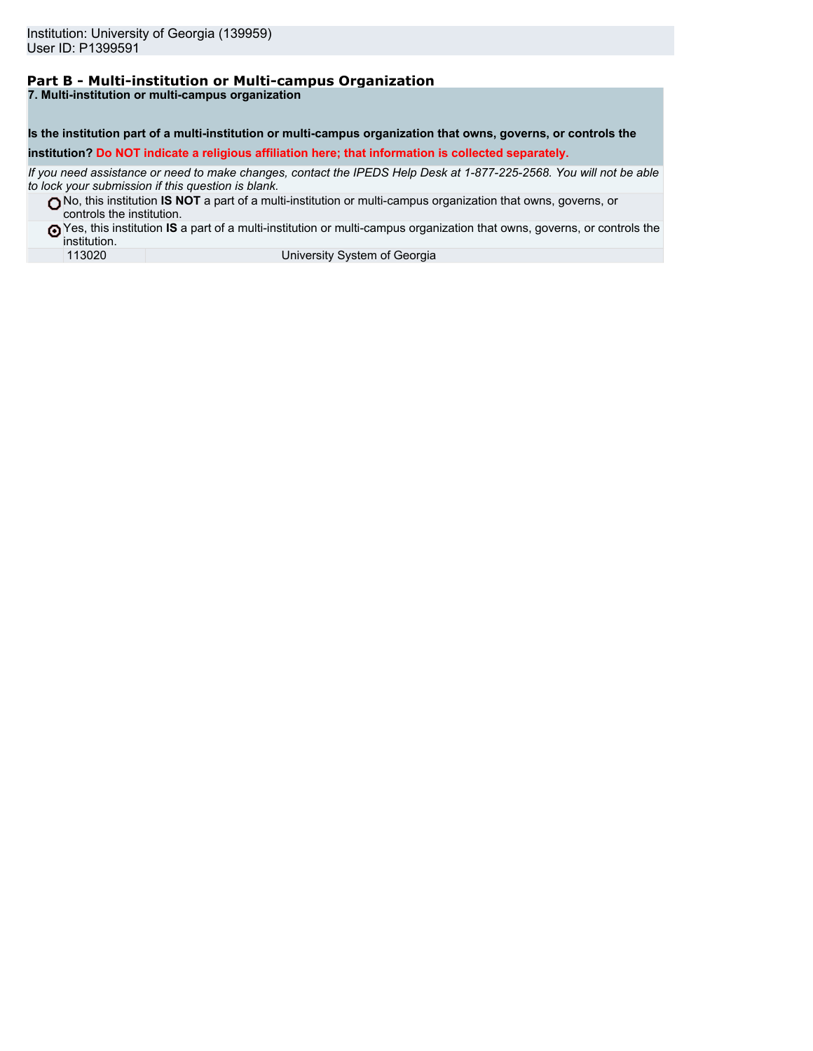# **Part B - Multi-institution or Multi-campus Organization**

**7. Multi-institution or multi-campus organization**

**Is the institution part of a multi-institution or multi-campus organization that owns, governs, or controls the institution? Do NOT indicate a religious affiliation here; that information is collected separately.**

*If you need assistance or need to make changes, contact the IPEDS Help Desk at 1-877-225-2568. You will not be able to lock your submission if this question is blank.*

No, this institution **IS NOT** a part of a multi-institution or multi-campus organization that owns, governs, or controls the institution.

Yes, this institution **IS** a part of a multi-institution or multi-campus organization that owns, governs, or controls the institution.<br>113020

University System of Georgia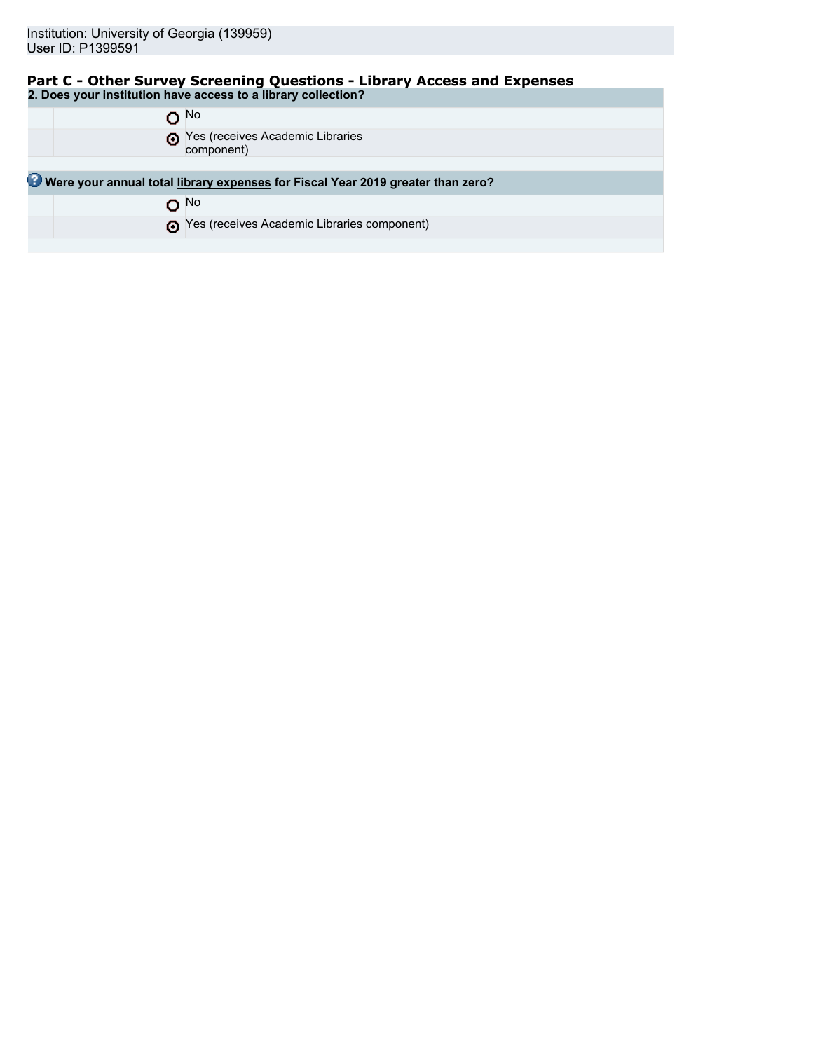### **Part C - Other Survey Screening Questions - Library Access and Expenses 2. Does your institution have access to a library collection?**

|  | $\bullet$ No |                                                                                 |  |  |  |
|--|--------------|---------------------------------------------------------------------------------|--|--|--|
|  | െ            | Yes (receives Academic Libraries<br>component)                                  |  |  |  |
|  |              |                                                                                 |  |  |  |
|  |              | Were your annual total library expenses for Fiscal Year 2019 greater than zero? |  |  |  |
|  | $O$ No       |                                                                                 |  |  |  |
|  |              | Yes (receives Academic Libraries component)                                     |  |  |  |
|  |              |                                                                                 |  |  |  |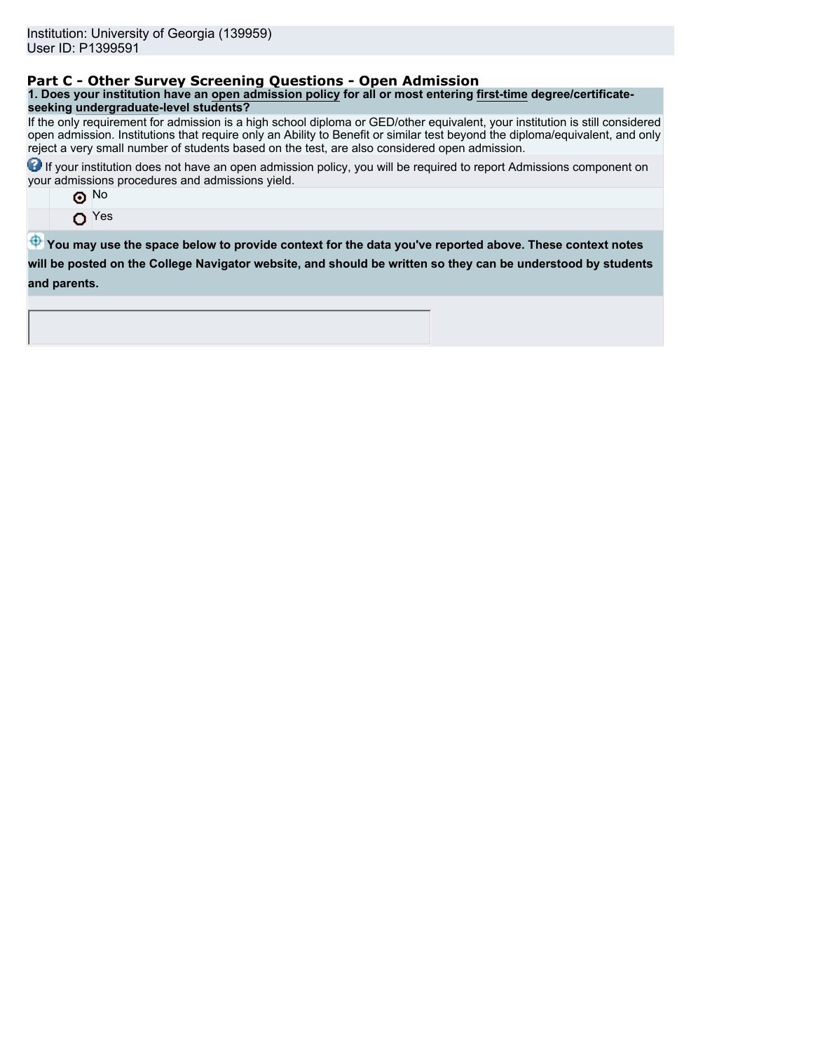### **Part C - Other Survey Screening Questions - Open Admission**

**1. Does your institution have an open admission policy for all or most entering first-time degree/certificateseeking undergraduate-level students?**

If the only requirement for admission is a high school diploma or GED/other equivalent, your institution is still considered open admission. Institutions that require only an Ability to Benefit or similar test beyond the diploma/equivalent, and only reject a very small number of students based on the test, are also considered open admission.

**1** If your institution does not have an open admission policy, you will be required to report Admissions component on your admissions procedures and admissions yield.

- $\odot$  No
- O<sup>Yes</sup>

 $\bigoplus$  **You may use the space below to provide context for the data you've reported above. These context notes** 

**will be posted on the College Navigator website, and should be written so they can be understood by students and parents.**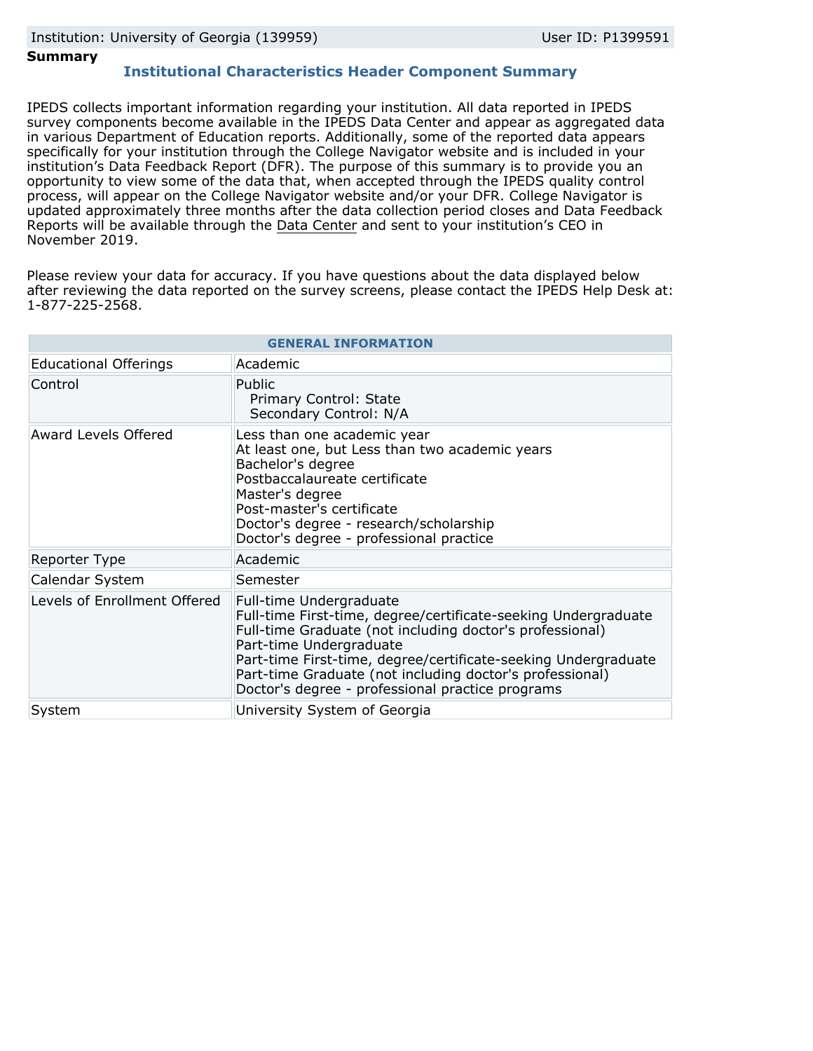### **Summary**

### **Institutional Characteristics Header Component Summary**

IPEDS collects important information regarding your institution. All data reported in IPEDS survey components become available in the IPEDS Data Center and appear as aggregated data in various Department of Education reports. Additionally, some of the reported data appears specifically for your institution through the College Navigator website and is included in your institution's Data Feedback Report (DFR). The purpose of this summary is to provide you an opportunity to view some of the data that, when accepted through the IPEDS quality control process, will appear on the College Navigator website and/or your DFR. College Navigator is updated approximately three months after the data collection period closes and Data Feedback Reports will be available through the [Data Center](https://nces.ed.gov/ipeds/use-the-data) and sent to your institution's CEO in November 2019.

Please review your data for accuracy. If you have questions about the data displayed below after reviewing the data reported on the survey screens, please contact the IPEDS Help Desk at: 1-877-225-2568.

| <b>GENERAL INFORMATION</b>   |                                                                                                                                                                                                                                                                                                                                                                    |  |  |  |
|------------------------------|--------------------------------------------------------------------------------------------------------------------------------------------------------------------------------------------------------------------------------------------------------------------------------------------------------------------------------------------------------------------|--|--|--|
| <b>Educational Offerings</b> | Academic                                                                                                                                                                                                                                                                                                                                                           |  |  |  |
| Control                      | Public<br>Primary Control: State<br>Secondary Control: N/A                                                                                                                                                                                                                                                                                                         |  |  |  |
| Award Levels Offered         | Less than one academic year<br>At least one, but Less than two academic years<br>Bachelor's degree<br>Postbaccalaureate certificate<br>Master's degree<br>Post-master's certificate<br>Doctor's degree - research/scholarship<br>Doctor's degree - professional practice                                                                                           |  |  |  |
| Reporter Type                | Academic                                                                                                                                                                                                                                                                                                                                                           |  |  |  |
| Calendar System              | Semester                                                                                                                                                                                                                                                                                                                                                           |  |  |  |
| Levels of Enrollment Offered | Full-time Undergraduate<br>Full-time First-time, degree/certificate-seeking Undergraduate<br>Full-time Graduate (not including doctor's professional)<br>Part-time Undergraduate<br>Part-time First-time, degree/certificate-seeking Undergraduate<br>Part-time Graduate (not including doctor's professional)<br>Doctor's degree - professional practice programs |  |  |  |
| System                       | University System of Georgia                                                                                                                                                                                                                                                                                                                                       |  |  |  |